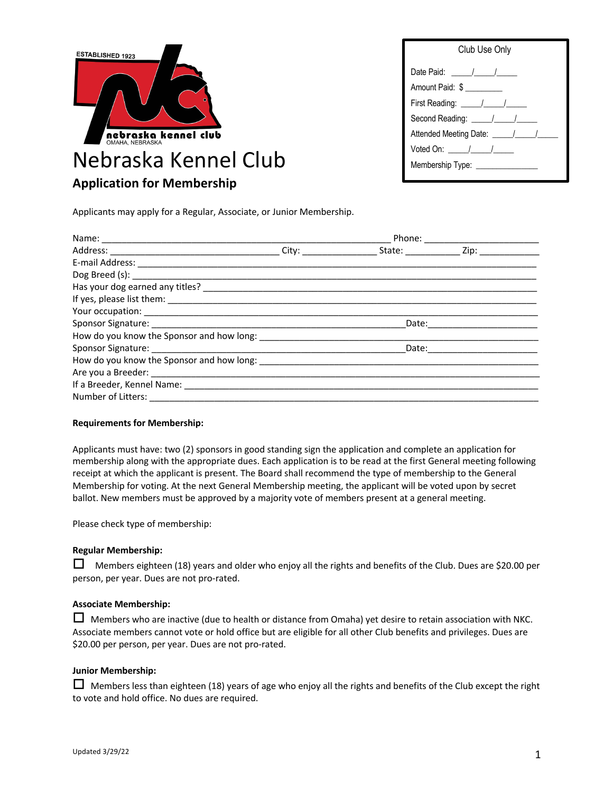

| Club Use Only                                                                                                   |  |  |
|-----------------------------------------------------------------------------------------------------------------|--|--|
|                                                                                                                 |  |  |
| Amount Paid: \$                                                                                                 |  |  |
| First Reading: \[\[\]                                                                                           |  |  |
| Second Reading: \[\straigstare\]                                                                                |  |  |
| Attended Meeting Date: \[\]                                                                                     |  |  |
| Voted On: $\frac{1}{\sqrt{1-\frac{1}{2}}}\frac{1}{\sqrt{1-\frac{1}{2}}\sqrt{1-\frac{1}{2}}\sqrt{1-\frac{1}{2}}$ |  |  |
| Membership Type:                                                                                                |  |  |

Applicants may apply for a Regular, Associate, or Junior Membership.

### **Requirements for Membership:**

Applicants must have: two (2) sponsors in good standing sign the application and complete an application for membership along with the appropriate dues. Each application is to be read at the first General meeting following receipt at which the applicant is present. The Board shall recommend the type of membership to the General Membership for voting. At the next General Membership meeting, the applicant will be voted upon by secret ballot. New members must be approved by a majority vote of members present at a general meeting.

Please check type of membership:

## **Regular Membership:**

 $\Box$  Members eighteen (18) years and older who enjoy all the rights and benefits of the Club. Dues are \$20.00 per person, per year. Dues are not pro-rated.

#### **Associate Membership:**

 $\Box$  Members who are inactive (due to health or distance from Omaha) yet desire to retain association with NKC. Associate members cannot vote or hold office but are eligible for all other Club benefits and privileges. Dues are \$20.00 per person, per year. Dues are not pro-rated.

### **Junior Membership:**

 $\Box$  Members less than eighteen (18) years of age who enjoy all the rights and benefits of the Club except the right to vote and hold office. No dues are required.